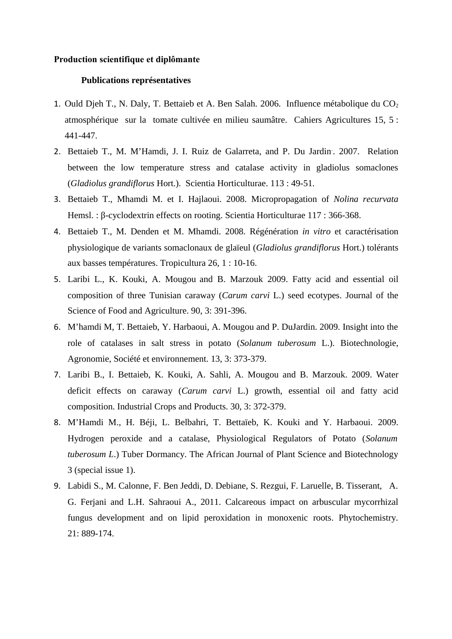## **Production scientifique et diplômante**

# **Publications représentatives**

- 1. Ould Djeh T., N. Daly, T. Bettaieb et A. Ben Salah. 2006. Influence métabolique du  $CO<sub>2</sub>$ atmosphérique sur la tomate cultivée en milieu saumâtre. Cahiers Agricultures 15, 5 : 441-447.
- 2. Bettaieb T., M. M'Hamdi, J. I. Ruiz de Galarreta, and P. Du Jardin. 2007. Relation between the low temperature stress and catalase activity in gladiolus somaclones (*Gladiolus grandiflorus* Hort.). Scientia Horticulturae. 113 : 49-51.
- 3. Bettaieb T., Mhamdi M. et I. Hajlaoui. 2008. Micropropagation of *Nolina recurvata* Hemsl. : β-cyclodextrin effects on rooting. Scientia Horticulturae 117 : 366-368.
- 4. Bettaieb T., M. Denden et M. Mhamdi. 2008. Régénération *in vitro* et caractérisation physiologique de variants somaclonaux de glaïeul (*Gladiolus grandiflorus* Hort.) tolérants aux basses températures. Tropicultura 26, 1 : 10-16.
- 5. Laribi L., K. Kouki, A. Mougou and B. Marzouk 2009. Fatty acid and essential oil composition of three Tunisian caraway (*Carum carvi* L.) seed ecotypes. Journal of the Science of Food and Agriculture. 90, 3: 391-396.
- 6. M'hamdi M, T. Bettaieb, Y. Harbaoui, A. Mougou and P. DuJardin. 2009. Insight into the role of catalases in salt stress in potato (*Solanum tuberosum* L.). Biotechnologie, Agronomie, Société et environnement. 13, 3: 373-379.
- 7. Laribi B., I. Bettaieb, K. Kouki, A. Sahli, A. Mougou and B. Marzouk. 2009. Water deficit effects on caraway (*Carum carvi* L.) growth, essential oil and fatty acid composition. Industrial Crops and Products. 30, 3: 372-379.
- 8. M'Hamdi M., H. Béji, L. Belbahri, T. Bettaïeb, K. Kouki and Y. Harbaoui. 2009. Hydrogen peroxide and a catalase, Physiological Regulators of Potato (*Solanum tuberosum L*.) Tuber Dormancy. The African Journal of Plant Science and Biotechnology 3 (special issue 1).
- 9. Labidi S., M. Calonne, F. Ben Jeddi, D. Debiane, S. Rezgui, F. Laruelle, B. Tisserant, A. G. Ferjani and L.H. Sahraoui A., 2011. Calcareous impact on arbuscular mycorrhizal fungus development and on lipid peroxidation in monoxenic roots. Phytochemistry. 21: 889-174.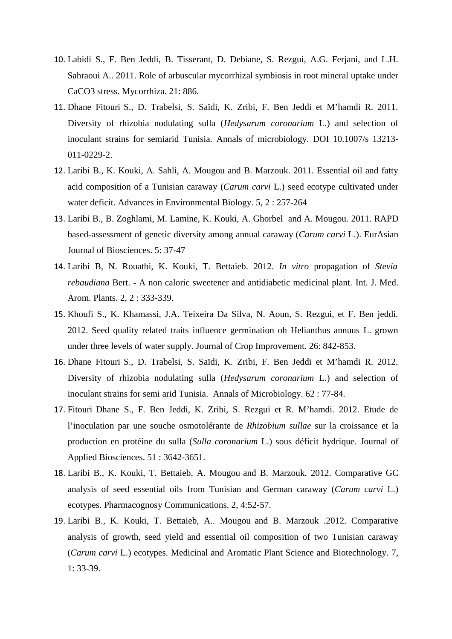- 10. Labidi S., F. Ben Jeddi, B. Tisserant, D. Debiane, S. Rezgui, A.G. Ferjani, and L.H. Sahraoui A.. 2011. Role of arbuscular mycorrhizal symbiosis in root mineral uptake under CaCO3 stress. Mycorrhiza. 21: 886.
- 11. Dhane Fitouri S., D. Trabelsi, S. Saïdi, K. Zribi, F. Ben Jeddi et M'hamdi R. 2011. Diversity of rhizobia nodulating sulla (*Hedysarum coronarium* L.) and selection of inoculant strains for semiarid Tunisia. Annals of microbiology. DOI 10.1007/s 13213- 011-0229-2.
- 12. Laribi B., K. Kouki, A. Sahli, A. Mougou and B. Marzouk. 2011. Essential oil and fatty acid composition of a Tunisian caraway (*Carum carvi* L.) seed ecotype cultivated under water deficit. Advances in Environmental Biology. 5, 2 : 257-264
- 13. Laribi B., B. Zoghlami, M. Lamine, K. Kouki, A. Ghorbel and A. Mougou. 2011. RAPD based-assessment of genetic diversity among annual caraway (*Carum carvi* L.). EurAsian Journal of Biosciences. 5: 37-47
- 14. Laribi B, N. Rouatbi, K. Kouki, T. Bettaieb. 2012. *In vitro* propagation of *Stevia rebaudiana* Bert. - A non caloric sweetener and antidiabetic medicinal plant. Int. J. Med. Arom. Plants. 2, 2 : 333-339.
- 15. Khoufi S., K. Khamassi, J.A. Teixeira Da Silva, N. Aoun, S. Rezgui, et F. Ben jeddi. 2012. Seed quality related traits influence germination oh Helianthus annuus L. grown under three levels of water supply. Journal of Crop Improvement. 26: 842-853.
- 16. Dhane Fitouri S., D. Trabelsi, S. Saïdi, K. Zribi, F. Ben Jeddi et M'hamdi R. 2012. Diversity of rhizobia nodulating sulla (*Hedysarum coronarium* L.) and selection of inoculant strains for semi arid Tunisia. Annals of Microbiology. 62 : 77-84.
- 17. Fitouri Dhane S., F. Ben Jeddi, K. Zribi, S. Rezgui et R. M'hamdi. 2012. Etude de l'inoculation par une souche osmotolérante de *Rhizobium sullae* sur la croissance et la production en protéine du sulla (*Sulla coronarium* L.) sous déficit hydrique. Journal of Applied Biosciences. 51 : 3642-3651.
- 18. Laribi B., K. Kouki, T. Bettaieb, A. Mougou and B. Marzouk. 2012. Comparative GC analysis of seed essential oils from Tunisian and German caraway (*Carum carvi* L.) ecotypes. Pharmacognosy Communications. 2, 4:52-57.
- 19. Laribi B., K. Kouki, T. Bettaieb, A.. Mougou and B. Marzouk .2012. Comparative analysis of growth, seed yield and essential oil composition of two Tunisian caraway (*Carum carvi* L.) ecotypes. Medicinal and Aromatic Plant Science and Biotechnology. 7, 1: 33-39.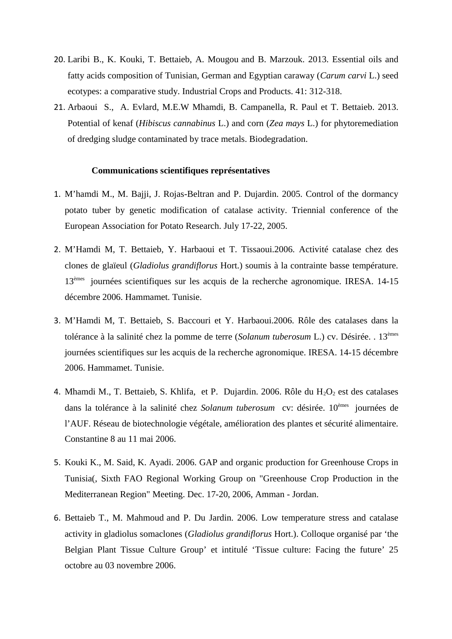- 20. Laribi B., K. Kouki, T. Bettaieb, A. Mougou and B. Marzouk. 2013. Essential oils and fatty acids composition of Tunisian, German and Egyptian caraway (*Carum carvi* L.) seed ecotypes: a comparative study. Industrial Crops and Products. 41: 312-318.
- 21. Arbaoui S., A. Evlard, M.E.W Mhamdi, B. Campanella, R. Paul et T. Bettaieb. 2013. Potential of kenaf (*Hibiscus cannabinus* L.) and corn (*Zea mays* L.) for phytoremediation of dredging sludge contaminated by trace metals. Biodegradation.

## **Communications scientifiques représentatives**

- 1. M'hamdi M., M. Bajji, J. Rojas-Beltran and P. Dujardin. 2005. Control of the dormancy potato tuber by genetic modification of catalase activity. Triennial conference of the European Association for Potato Research. July 17-22, 2005.
- 2. M'Hamdi M, T. Bettaieb, Y. Harbaoui et T. Tissaoui.2006. Activité catalase chez des clones de glaïeul (*Gladiolus grandiflorus* Hort.) soumis à la contrainte basse température. 13èmes journées scientifiques sur les acquis de la recherche agronomique. IRESA. 14-15 décembre 2006. Hammamet. Tunisie.
- 3. M'Hamdi M, T. Bettaieb, S. Baccouri et Y. Harbaoui.2006. Rôle des catalases dans la tolérance à la salinité chez la pomme de terre (*Solanum tuberosum* L.) cv. Désirée. . 13èmes journées scientifiques sur les acquis de la recherche agronomique. IRESA. 14-15 décembre 2006. Hammamet. Tunisie.
- 4. Mhamdi M., T. Bettaieb, S. Khlifa, et P. Dujardin. 2006. Rôle du  $H_2O_2$  est des catalases dans la tolérance à la salinité chez *Solanum tuberosum* cv: désirée. 10èmes journées de l'AUF. Réseau de biotechnologie végétale, amélioration des plantes et sécurité alimentaire. Constantine 8 au 11 mai 2006.
- 5. Kouki K., M. Said, K. Ayadi. 2006. GAP and organic production for Greenhouse Crops in Tunisia(, Sixth FAO Regional Working Group on "Greenhouse Crop Production in the Mediterranean Region" Meeting. Dec. 17-20, 2006, Amman - Jordan.
- 6. Bettaieb T., M. Mahmoud and P. Du Jardin. 2006. Low temperature stress and catalase activity in gladiolus somaclones (*Gladiolus grandiflorus* Hort.). Colloque organisé par 'the Belgian Plant Tissue Culture Group' et intitulé 'Tissue culture: Facing the future' 25 octobre au 03 novembre 2006.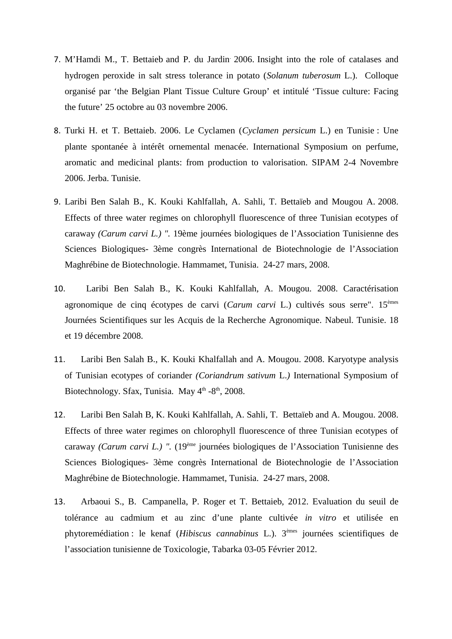- 7. M'Hamdi M., T. Bettaieb and P. du Jardin. 2006. Insight into the role of catalases and hydrogen peroxide in salt stress tolerance in potato (*Solanum tuberosum* L.). Colloque organisé par 'the Belgian Plant Tissue Culture Group' et intitulé 'Tissue culture: Facing the future' 25 octobre au 03 novembre 2006.
- 8. Turki H. et T. Bettaieb. 2006. Le Cyclamen (*Cyclamen persicum* L.) en Tunisie : Une plante spontanée à intérêt ornemental menacée. International Symposium on perfume, aromatic and medicinal plants: from production to valorisation. SIPAM 2-4 Novembre 2006. Jerba. Tunisie.
- 9. Laribi Ben Salah B., K. Kouki Kahlfallah, A. Sahli, T. Bettaïeb and Mougou A. 2008. Effects of three water regimes on chlorophyll fluorescence of three Tunisian ecotypes of caraway *(Carum carvi L.) ".* 19ème journées biologiques de l'Association Tunisienne des Sciences Biologiques- 3ème congrès International de Biotechnologie de l'Association Maghrébine de Biotechnologie. Hammamet, Tunisia. 24-27 mars, 2008.
- 10. Laribi Ben Salah B., K. Kouki Kahlfallah, A. Mougou. 2008. Caractérisation agronomique de cinq écotypes de carvi (*Carum carvi* L.) cultivés sous serre". 15èmes Journées Scientifiques sur les Acquis de la Recherche Agronomique. Nabeul. Tunisie. 18 et 19 décembre 2008.
- 11. Laribi Ben Salah B., K. Kouki Khalfallah and A. Mougou. 2008. Karyotype analysis of Tunisian ecotypes of coriander *(Coriandrum sativum* L.*)* International Symposium of Biotechnology. Sfax, Tunisia. May  $4<sup>th</sup> - 8<sup>th</sup>$ , 2008.
- 12. Laribi Ben Salah B, K. Kouki Kahlfallah, A. Sahli, T. Bettaïeb and A. Mougou. 2008. Effects of three water regimes on chlorophyll fluorescence of three Tunisian ecotypes of caraway *(Carum carvi L.) ".* (19ème journées biologiques de l'Association Tunisienne des Sciences Biologiques- 3ème congrès International de Biotechnologie de l'Association Maghrébine de Biotechnologie. Hammamet, Tunisia. 24-27 mars, 2008.
- 13. Arbaoui S., B. Campanella, P. Roger et T. Bettaieb, 2012. Evaluation du seuil de tolérance au cadmium et au zinc d'une plante cultivée *in vitro* et utilisée en phytoremédiation : le kenaf (*Hibiscus cannabinus* L.). 3èmes journées scientifiques de l'association tunisienne de Toxicologie, Tabarka 03-05 Février 2012.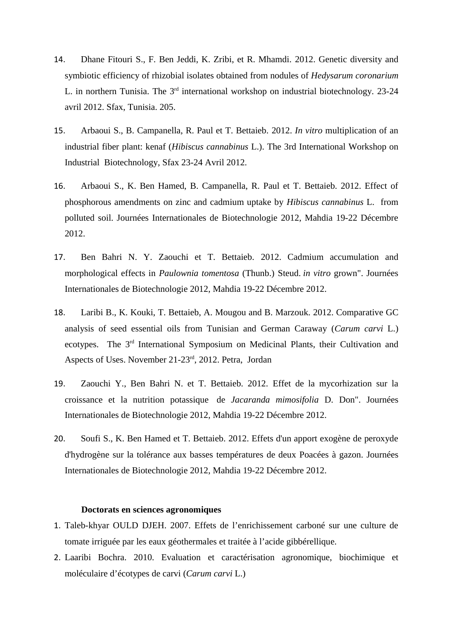- 14. Dhane Fitouri S., F. Ben Jeddi, K. Zribi, et R. Mhamdi. 2012. Genetic diversity and symbiotic efficiency of rhizobial isolates obtained from nodules of *Hedysarum coronarium* L. in northern Tunisia. The  $3<sup>rd</sup>$  international workshop on industrial biotechnology. 23-24 avril 2012. Sfax, Tunisia. 205.
- 15. Arbaoui S., B. Campanella, R. Paul et T. Bettaieb. 2012. *In vitro* multiplication of an industrial fiber plant: kenaf (*Hibiscus cannabinus* L.). The 3rd International Workshop on Industrial Biotechnology, Sfax 23-24 Avril 2012.
- 16. Arbaoui S., K. Ben Hamed, B. Campanella, R. Paul et T. Bettaieb. 2012. Effect of phosphorous amendments on zinc and cadmium uptake by *Hibiscus cannabinus* L. from polluted soil. Journées Internationales de Biotechnologie 2012, Mahdia 19-22 Décembre 2012.
- 17. Ben Bahri N. Y. Zaouchi et T. Bettaieb. 2012. Cadmium accumulation and morphological effects in *Paulownia tomentosa* (Thunb.) Steud. *in vitro* grown". Journées Internationales de Biotechnologie 2012, Mahdia 19-22 Décembre 2012.
- 18. Laribi B., K. Kouki, T. Bettaieb, A. Mougou and B. Marzouk. 2012. Comparative GC analysis of seed essential oils from Tunisian and German Caraway (*Carum carvi* L.) ecotypes. The 3<sup>rd</sup> International Symposium on Medicinal Plants, their Cultivation and Aspects of Uses. November 21-23<sup>rd</sup>, 2012. Petra, Jordan
- 19. Zaouchi Y., Ben Bahri N. et T. Bettaieb. 2012. Effet de la mycorhization sur la croissance et la nutrition potassique de *Jacaranda mimosifolia* D. Don". Journées Internationales de Biotechnologie 2012, Mahdia 19-22 Décembre 2012.
- 20. Soufi S., K. Ben Hamed et T. Bettaieb. 2012. Effets d'un apport exogène de peroxyde d'hydrogène sur la tolérance aux basses températures de deux Poacées à gazon. Journées Internationales de Biotechnologie 2012, Mahdia 19-22 Décembre 2012.

### **Doctorats en sciences agronomiques**

- 1. Taleb-khyar OULD DJEH. 2007. Effets de l'enrichissement carboné sur une culture de tomate irriguée par les eaux géothermales et traitée à l'acide gibbérellique.
- 2. Laaribi Bochra. 2010. Evaluation et caractérisation agronomique, biochimique et moléculaire d'écotypes de carvi (*Carum carvi* L.)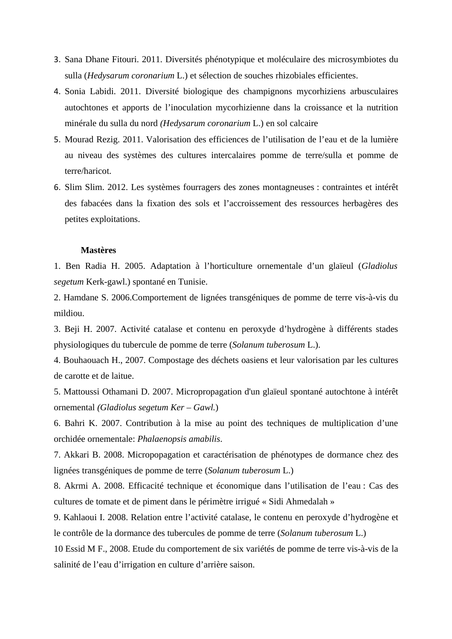- 3. Sana Dhane Fitouri. 2011. Diversités phénotypique et moléculaire des microsymbiotes du sulla (*Hedysarum coronarium* L.) et sélection de souches rhizobiales efficientes.
- 4. Sonia Labidi. 2011. Diversité biologique des champignons mycorhiziens arbusculaires autochtones et apports de l'inoculation mycorhizienne dans la croissance et la nutrition minérale du sulla du nord *(Hedysarum coronarium* L.) en sol calcaire
- 5. Mourad Rezig. 2011. Valorisation des efficiences de l'utilisation de l'eau et de la lumière au niveau des systèmes des cultures intercalaires pomme de terre/sulla et pomme de terre/haricot.
- 6. Slim Slim. 2012. Les systèmes fourragers des zones montagneuses : contraintes et intérêt des fabacées dans la fixation des sols et l'accroissement des ressources herbagères des petites exploitations.

### **Mastères**

1. Ben Radia H. 2005. Adaptation à l'horticulture ornementale d'un glaïeul (*Gladiolus segetum* Kerk-gawl.) spontané en Tunisie.

2. Hamdane S. 2006.Comportement de lignées transgéniques de pomme de terre vis-à-vis du mildiou.

3. Beji H. 2007. Activité catalase et contenu en peroxyde d'hydrogène à différents stades physiologiques du tubercule de pomme de terre (*Solanum tuberosum* L.).

4. Bouhaouach H., 2007. Compostage des déchets oasiens et leur valorisation par les cultures de carotte et de laitue.

5. Mattoussi Othamani D. 2007. Micropropagation d'un glaïeul spontané autochtone à intérêt ornemental *(Gladiolus segetum Ker – Gawl.*)

6. Bahri K. 2007. Contribution à la mise au point des techniques de multiplication d'une orchidée ornementale: *Phalaenopsis amabilis*.

7. Akkari B. 2008. Micropopagation et caractérisation de phénotypes de dormance chez des lignées transgéniques de pomme de terre (*Solanum tuberosum* L.)

8. Akrmi A. 2008. Efficacité technique et économique dans l'utilisation de l'eau : Cas des cultures de tomate et de piment dans le périmètre irrigué « Sidi Ahmedalah »

9. Kahlaoui I. 2008. Relation entre l'activité catalase, le contenu en peroxyde d'hydrogène et le contrôle de la dormance des tubercules de pomme de terre (*Solanum tuberosum* L.)

10 Essid M F., 2008. Etude du comportement de six variétés de pomme de terre vis-à-vis de la salinité de l'eau d'irrigation en culture d'arrière saison.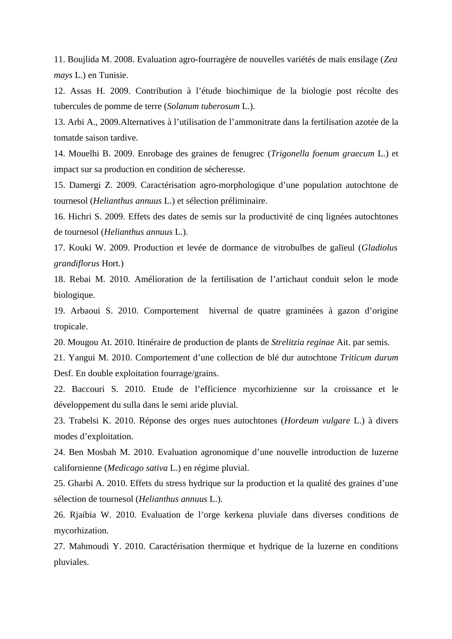11. Boujlida M. 2008. Evaluation agro-fourragère de nouvelles variétés de maïs ensilage (*Zea mays* L.) en Tunisie.

12. Assas H. 2009. Contribution à l'étude biochimique de la biologie post récolte des tubercules de pomme de terre (*Solanum tuberosum* L.).

13. Arbi A., 2009.Alternatives à l'utilisation de l'ammonitrate dans la fertilisation azotée de la tomatde saison tardive.

14. Mouelhi B. 2009. Enrobage des graines de fenugrec (*Trigonella foenum graecum* L.) et impact sur sa production en condition de sécheresse.

15. Damergi Z. 2009. Caractérisation agro-morphologique d'une population autochtone de tournesol (*Helianthus annuus* L.) et sélection préliminaire.

16. Hichri S. 2009. Effets des dates de semis sur la productivité de cinq lignées autochtones de tournesol (*Helianthus annuus* L.).

17. Kouki W. 2009. Production et levée de dormance de vitrobulbes de galïeul (*Gladiolus grandiflorus* Hort.)

18. Rebai M. 2010. Amélioration de la fertilisation de l'artichaut conduit selon le mode biologique.

19. Arbaoui S. 2010. Comportement hivernal de quatre graminées à gazon d'origine tropicale.

20. Mougou At. 2010. Itinéraire de production de plants de *Strelitzia reginae* Ait. par semis.

21. Yangui M. 2010. Comportement d'une collection de blé dur autochtone *Triticum durum* Desf. En double exploitation fourrage/grains.

22. Baccouri S. 2010. Etude de l'efficience mycorhizienne sur la croissance et le développement du sulla dans le semi aride pluvial.

23. Trabelsi K. 2010. Réponse des orges nues autochtones (*Hordeum vulgare* L.) à divers modes d'exploitation.

24. Ben Mosbah M. 2010. Evaluation agronomique d'une nouvelle introduction de luzerne californienne (*Medicago sativa* L.) en régime pluvial.

25. Gharbi A. 2010. Effets du stress hydrique sur la production et la qualité des graines d'une sélection de tournesol (*Helianthus annuus* L.).

26. Rjaibia W. 2010. Evaluation de l'orge kerkena pluviale dans diverses conditions de mycorhization.

27. Mahmoudi Y. 2010. Caractérisation thermique et hydrique de la luzerne en conditions pluviales.